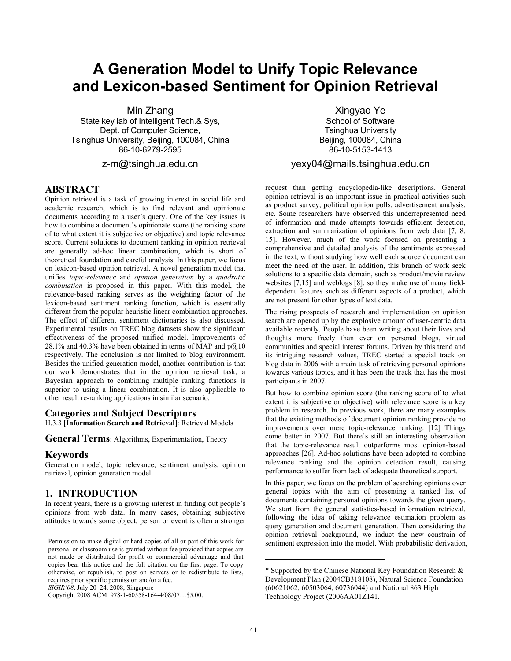# **A Generation Model to Unify Topic Relevance and Lexicon-based Sentiment for Opinion Retrieval**

Min Zhang State key lab of Intelligent Tech.& Sys, Dept. of Computer Science, Tsinghua University, Beijing, 100084, China 86-10-6279-2595

## z-m@tsinghua.edu.cn

## **ABSTRACT**

Opinion retrieval is a task of growing interest in social life and academic research, which is to find relevant and opinionate documents according to a user's query. One of the key issues is how to combine a document's opinionate score (the ranking score of to what extent it is subjective or objective) and topic relevance score. Current solutions to document ranking in opinion retrieval are generally ad-hoc linear combination, which is short of theoretical foundation and careful analysis. In this paper, we focus on lexicon-based opinion retrieval. A novel generation model that unifies *topic-relevance* and *opinion generation* by a *quadratic combination* is proposed in this paper. With this model, the relevance-based ranking serves as the weighting factor of the lexicon-based sentiment ranking function, which is essentially different from the popular heuristic linear combination approaches. The effect of different sentiment dictionaries is also discussed. Experimental results on TREC blog datasets show the significant effectiveness of the proposed unified model. Improvements of 28.1% and 40.3% have been obtained in terms of MAP and  $p@10$ respectively. The conclusion is not limited to blog environment. Besides the unified generation model, another contribution is that our work demonstrates that in the opinion retrieval task, a Bayesian approach to combining multiple ranking functions is superior to using a linear combination. It is also applicable to other result re-ranking applications in similar scenario.

#### **Categories and Subject Descriptors**

H.3.3 [**Information Search and Retrieval**]: Retrieval Models

**General Terms**: Algorithms, Experimentation, Theory

#### **Keywords**

Generation model, topic relevance, sentiment analysis, opinion retrieval, opinion generation model

## **1. INTRODUCTION**

In recent years, there is a growing interest in finding out people's opinions from web data. In many cases, obtaining subjective attitudes towards some object, person or event is often a stronger

*SIGIR'08*, July 20–24, 2008, Singapore

Copyright 2008 ACM 978-1-60558-164-4/08/07…\$5.00.

Xingyao Ye School of Software Tsinghua University Beijing, 100084, China 86-10-5153-1413

## yexy04@mails.tsinghua.edu.cn

request than getting encyclopedia-like descriptions. General opinion retrieval is an important issue in practical activities such as product survey, political opinion polls, advertisement analysis, etc. Some researchers have observed this underrepresented need of information and made attempts towards efficient detection, extraction and summarization of opinions from web data [7, 8, 15]. However, much of the work focused on presenting a comprehensive and detailed analysis of the sentiments expressed in the text, without studying how well each source document can meet the need of the user. In addition, this branch of work seek solutions to a specific data domain, such as product/movie review websites [7,15] and weblogs [8], so they make use of many fielddependent features such as different aspects of a product, which are not present for other types of text data.

The rising prospects of research and implementation on opinion search are opened up by the explosive amount of user-centric data available recently. People have been writing about their lives and thoughts more freely than ever on personal blogs, virtual communities and special interest forums. Driven by this trend and its intriguing research values, TREC started a special track on blog data in 2006 with a main task of retrieving personal opinions towards various topics, and it has been the track that has the most participants in 2007.

But how to combine opinion score (the ranking score of to what extent it is subjective or objective) with relevance score is a key problem in research. In previous work, there are many examples that the existing methods of document opinion ranking provide no improvements over mere topic-relevance ranking. [12] Things come better in 2007. But there's still an interesting observation that the topic-relevance result outperforms most opinion-based approaches [26]. Ad-hoc solutions have been adopted to combine relevance ranking and the opinion detection result, causing performance to suffer from lack of adequate theoretical support.

In this paper, we focus on the problem of searching opinions over general topics with the aim of presenting a ranked list of documents containing personal opinions towards the given query. We start from the general statistics-based information retrieval, following the idea of taking relevance estimation problem as query generation and document generation. Then considering the opinion retrieval background, we induct the new constrain of sentiment expression into the model. With probabilistic derivation,

1

Permission to make digital or hard copies of all or part of this work for personal or classroom use is granted without fee provided that copies are not made or distributed for profit or commercial advantage and that copies bear this notice and the full citation on the first page. To copy otherwise, or republish, to post on servers or to redistribute to lists, requires prior specific permission and/or a fee.

<sup>\*</sup> Supported by the Chinese National Key Foundation Research & Development Plan (2004CB318108), Natural Science Foundation (60621062, 60503064, 60736044) and National 863 High Technology Project (2006AA01Z141.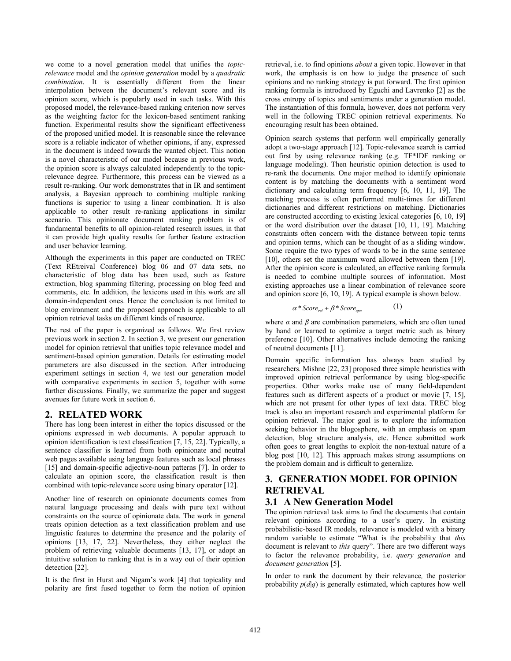we come to a novel generation model that unifies the *topicrelevance* model and the *opinion generation* model by a *quadratic combination*. It is essentially different from the linear interpolation between the document's relevant score and its opinion score, which is popularly used in such tasks. With this proposed model, the relevance-based ranking criterion now serves as the weighting factor for the lexicon-based sentiment ranking function. Experimental results show the significant effectiveness of the proposed unified model. It is reasonable since the relevance score is a reliable indicator of whether opinions, if any, expressed in the document is indeed towards the wanted object. This notion is a novel characteristic of our model because in previous work, the opinion score is always calculated independently to the topicrelevance degree. Furthermore, this process can be viewed as a result re-ranking. Our work demonstrates that in IR and sentiment analysis, a Bayesian approach to combining multiple ranking functions is superior to using a linear combination. It is also applicable to other result re-ranking applications in similar scenario. This opinionate document ranking problem is of fundamental benefits to all opinion-related research issues, in that it can provide high quality results for further feature extraction and user behavior learning.

Although the experiments in this paper are conducted on TREC (Text REtreival Conference) blog 06 and 07 data sets, no characteristic of blog data has been used, such as feature extraction, blog spamming filtering, processing on blog feed and comments, etc. In addition, the lexicons used in this work are all domain-independent ones. Hence the conclusion is not limited to blog environment and the proposed approach is applicable to all opinion retrieval tasks on different kinds of resource.

The rest of the paper is organized as follows. We first review previous work in section 2. In section 3, we present our generation model for opinion retrieval that unifies topic relevance model and sentiment-based opinion generation. Details for estimating model parameters are also discussed in the section. After introducing experiment settings in section 4, we test our generation model with comparative experiments in section 5, together with some further discussions. Finally, we summarize the paper and suggest avenues for future work in section 6.

# **2. RELATED WORK**

There has long been interest in either the topics discussed or the opinions expressed in web documents. A popular approach to opinion identification is text classification [7, 15, 22]. Typically, a sentence classifier is learned from both opinionate and neutral web pages available using language features such as local phrases [15] and domain-specific adjective-noun patterns [7]. In order to calculate an opinion score, the classification result is then combined with topic-relevance score using binary operator [12].

Another line of research on opinionate documents comes from natural language processing and deals with pure text without constraints on the source of opinionate data. The work in general treats opinion detection as a text classification problem and use linguistic features to determine the presence and the polarity of opinions [13, 17, 22]. Nevertheless, they either neglect the problem of retrieving valuable documents [13, 17], or adopt an intuitive solution to ranking that is in a way out of their opinion detection [22].

It is the first in Hurst and Nigam's work [4] that topicality and polarity are first fused together to form the notion of opinion retrieval, i.e. to find opinions *about* a given topic. However in that work, the emphasis is on how to judge the presence of such opinions and no ranking strategy is put forward. The first opinion ranking formula is introduced by Eguchi and Lavrenko [2] as the cross entropy of topics and sentiments under a generation model. The instantiation of this formula, however, does not perform very well in the following TREC opinion retrieval experiments. No encouraging result has been obtained.

Opinion search systems that perform well empirically generally adopt a two-stage approach [12]. Topic-relevance search is carried out first by using relevance ranking (e.g. TF\*IDF ranking or language modeling). Then heuristic opinion detection is used to re-rank the documents. One major method to identify opinionate content is by matching the documents with a sentiment word dictionary and calculating term frequency [6, 10, 11, 19]. The matching process is often performed multi-times for different dictionaries and different restrictions on matching. Dictionaries are constructed according to existing lexical categories [6, 10, 19] or the word distribution over the dataset [10, 11, 19]. Matching constraints often concern with the distance between topic terms and opinion terms, which can be thought of as a sliding window. Some require the two types of words to be in the same sentence [10], others set the maximum word allowed between them [19]. After the opinion score is calculated, an effective ranking formula is needed to combine multiple sources of information. Most existing approaches use a linear combination of relevance score and opinion score [6, 10, 19]. A typical example is shown below.

$$
\alpha * Score_{rel} + \beta * Score_{opn} \tag{1}
$$

where  $\alpha$  and  $\beta$  are combination parameters, which are often tuned by hand or learned to optimize a target metric such as binary preference [10]. Other alternatives include demoting the ranking of neutral documents [11].

Domain specific information has always been studied by researchers. Mishne [22, 23] proposed three simple heuristics with improved opinion retrieval performance by using blog-specific properties. Other works make use of many field-dependent features such as different aspects of a product or movie [7, 15], which are not present for other types of text data. TREC blog track is also an important research and experimental platform for opinion retrieval. The major goal is to explore the information seeking behavior in the blogosphere, with an emphasis on spam detection, blog structure analysis, etc. Hence submitted work often goes to great lengths to exploit the non-textual nature of a blog post [10, 12]. This approach makes strong assumptions on the problem domain and is difficult to generalize.

# **3. GENERATION MODEL FOR OPINION RETRIEVAL**

# **3.1 A New Generation Model**

The opinion retrieval task aims to find the documents that contain relevant opinions according to a user's query. In existing probabilistic-based IR models, relevance is modeled with a binary random variable to estimate "What is the probability that *this* document is relevant to *this* query". There are two different ways to factor the relevance probability, i.e. *query generation* and *document generation* [5].

In order to rank the document by their relevance*,* the posterior probability  $p(d|q)$  is generally estimated, which captures how well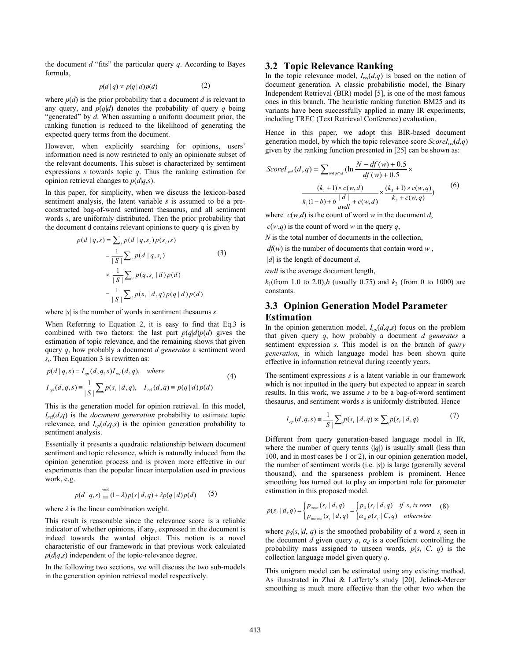the document  $d$  "fits" the particular query  $q$ . According to Bayes formula,

$$
p(d | q) \propto p(q | d) p(d) \tag{2}
$$

where  $p(d)$  is the prior probability that a document  $d$  is relevant to any query, and  $p(q|d)$  denotes the probability of query *q* being "generated" by *d*. When assuming a uniform document prior, the ranking function is reduced to the likelihood of generating the expected query terms from the document.

However, when explicitly searching for opinions, users' information need is now restricted to only an opinionate subset of the relevant documents. This subset is characterized by sentiment expressions *s* towards topic *q*. Thus the ranking estimation for opinion retrieval changes to  $p(d|q,s)$ .

In this paper, for simplicity, when we discuss the lexicon-based sentiment analysis, the latent variable *s* is assumed to be a preconstructed bag-of-word sentiment thesaurus, and all sentiment words *si* are uniformly distributed. Then the prior probability that the document d contains relevant opinions to query q is given by

$$
p(d | q, s) = \sum_{i} p(d | q, s_{i}) p(s_{i}, s)
$$
  
= 
$$
\frac{1}{|S|} \sum_{i} p(d | q, s_{i})
$$
 (3)  

$$
\propto \frac{1}{|S|} \sum_{i} p(q, s_{i} | d) p(d)
$$
  
= 
$$
\frac{1}{|S|} \sum_{i} p(s_{i} | d, q) p(q | d) p(d)
$$

where |*s*| is the number of words in sentiment thesaurus *s*.

When Referring to Equation 2, it is easy to find that Eq.3 is combined with two factors: the last part  $p(q|d)p(d)$  gives the estimation of topic relevance, and the remaining shows that given query *q*, how probably a document *d generates* a sentiment word  $s_i$ . Then Equation 3 is rewritten as:

$$
p(d | q, s) = I_{op}(d, q, s)I_{rel}(d, q), \text{ where}
$$
  
\n
$$
I_{op}(d, q, s) = \frac{1}{|S|} \sum_{i} p(s_i | d, q), \quad I_{rel}(d, q) = p(q | d) p(d)
$$
\n(4)

This is the generation model for opinion retrieval. In this model,  $I_{rel}(d,q)$  is the *document generation* probability to estimate topic relevance, and  $I_{op}(d,q,s)$  is the opinion generation probability to sentiment analysis.

Essentially it presents a quadratic relationship between document sentiment and topic relevance, which is naturally induced from the opinion generation process and is proven more effective in our experiments than the popular linear interpolation used in previous work, e.g.

$$
p(d | q, s) = (1 - \lambda)p(s | d, q) + \lambda p(q | d)p(d)
$$
 (5)

where  $\lambda$  is the linear combination weight.

This result is reasonable since the relevance score is a reliable indicator of whether opinions, if any, expressed in the document is indeed towards the wanted object. This notion is a novel characteristic of our framework in that previous work calculated  $p(d|q,s)$  independent of the topic-relevance degree.

In the following two sections, we will discuss the two sub-models in the generation opinion retrieval model respectively.

## **3.2 Topic Relevance Ranking**

In the topic relevance model,  $I_{rel}(d,q)$  is based on the notion of document generation. A classic probabilistic model, the Binary Independent Retrieval (BIR) model [5], is one of the most famous ones in this branch. The heuristic ranking function BM25 and its variants have been successfully applied in many IR experiments, including TREC (Text Retrieval Conference) evaluation.

Hence in this paper, we adopt this BIR-based document generation model, by which the topic relevance score  $Score_{rel}(d,q)$ given by the ranking function presented in [25] can be shown as:

$$
ScoreI_{rel}(d,q) = \sum_{w \in q \cap d} (\ln \frac{N - df(w) + 0.5}{df(w) + 0.5} \times \frac{(k_1 + 1) \times c(w, d)}{k_1(1 - b) + b \frac{|d|}{avdl} + c(w, d)} \times \frac{(k_3 + 1) \times c(w, q)}{k_3 + c(w, q)} \tag{6}
$$

where  $c(w,d)$  is the count of word *w* in the document *d*,

 $c(w,q)$  is the count of word *w* in the query *q*,

*N* is the total number of documents in the collection,

*df*(*w*) is the number of documents that contain word *w* ,

|*d|* is the length of document *d*,

*avdl* is the average document length,

 $k_1$ (from 1.0 to 2.0),*b* (usually 0.75) and  $k_3$  (from 0 to 1000) are constants.

# **3.3 Opinion Generation Model Parameter Estimation**

In the opinion generation model,  $I_{op}(d,q,s)$  focus on the problem that given query *q*, how probably a document *d generates* a sentiment expression *s*. This model is on the branch of *query generation*, in which language model has been shown quite effective in information retrieval during recently years.

The sentiment expressions *s* is a latent variable in our framework which is not inputted in the query but expected to appear in search results. In this work, we assume *s* to be a bag-of-word sentiment thesaurus, and sentiment words *s* is uniformly distributed. Hence

$$
I_{op}(d,q,s) = \frac{1}{|S|} \sum_{i} p(s_i | d,q) \propto \sum_{i} p(s_i | d,q)
$$
 (7)

Different from query generation-based language model in IR, where the number of query terms  $(|q|)$  is usually small (less than 100, and in most cases be 1 or 2), in our opinion generation model, the number of sentiment words (i.e. |*s*|) is large (generally several thousand), and the sparseness problem is prominent. Hence smoothing has turned out to play an important role for parameter estimation in this proposed model.

$$
p(s_i | d, q) = \begin{cases} p_{seen}(s_i | d, q) \\ p_{unseen}(s_i | d, q) \end{cases} = \begin{cases} p_s(s_i | d, q) & \text{if } s_i \text{ is seen} \\ \alpha_d p(s_i | C, q) & \text{otherwise} \end{cases}
$$
 (8)

where  $p_S(s_i|d, q)$  is the smoothed probability of a word  $s_i$  seen in the document *d* given query *q*,  $\alpha_d$  is a coefficient controlling the probability mass assigned to unseen words,  $p(s_i | C, q)$  is the collection language model given query *q*.

This unigram model can be estimated using any existing method. As iluustrated in Zhai & Lafferty's study [20], Jelinek-Mercer smoothing is much more effective than the other two when the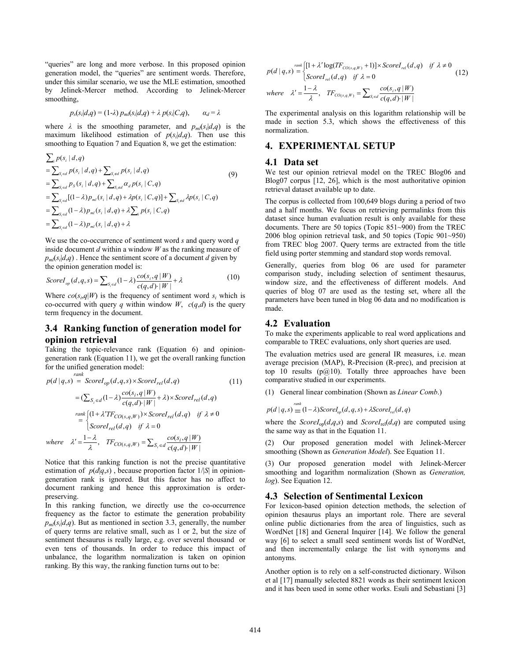"queries" are long and more verbose. In this proposed opinion generation model, the "queries" are sentiment words. Therefore, under this similar scenario, we use the MLE estimation, smoothed by Jelinek-Mercer method. According to Jelinek-Mercer smoothing,

$$
p_s(s_i|d,q) = (1-\lambda) p_m(s_i|d,q) + \lambda p(s_i|C,q), \qquad \alpha_d = \lambda
$$

where  $\lambda$  is the smoothing parameter, and  $p_{ml}(s_i|d,q)$  is the maximum likelihood estimation of  $p(s_i|d,q)$ . Then use this smoothing to Equation 7 and Equation 8, we get the estimation:

$$
\sum_{i} p(s_{i} | d, q) \n= \sum_{S_{i} \in d} p(s_{i} | d, q) + \sum_{S_{i} \notin d} p(s_{i} | d, q) \n= \sum_{S_{i} \in d} p_{S}(s_{i} | d, q) + \sum_{S_{i} \notin d} \alpha_{d} p(s_{i} | C, q) \n= \sum_{S_{i} \in d} [(1 - \lambda) p_{mi}(s_{i} | d, q) + \lambda p(s_{i} | C, q)] + \sum_{S_{i} \notin d} \lambda p(s_{i} | C, q) \n= \sum_{S_{i} \in d} (1 - \lambda) p_{mi}(s_{i} | d, q) + \lambda \sum_{i} p(s_{i} | C, q) \n= \sum_{S_{i} \in d} (1 - \lambda) p_{mi}(s_{i} | d, q) + \lambda
$$
\n(9)

We use the co-occurrence of sentiment word *s* and query word *q* inside document *d* within a window *W* as the ranking measure of  $p_{ml}(s_i|d,q)$ . Hence the sentiment score of a document *d* given by the opinion generation model is:

$$
ScoreI_{op}(d,q,s) = \sum_{s_i \in d} (1-\lambda) \frac{co(s_i, q \mid W)}{c(q, d) \mid W} + \lambda
$$
\n(10)

Where  $co(s_i, q|W)$  is the frequency of sentiment word  $s_i$  which is co-occurred with query *q* within window *W*,  $c(q,d)$  is the query term frequency in the document.

## **3.4 Ranking function of generation model for opinion retrieval**

Taking the topic-relevance rank (Equation 6) and opiniongeneration rank (Equation 11), we get the overall ranking function for the unified generation model:

*rank*

$$
p(d | q,s) = ScoreI_{op}(d,q,s) \times ScoreI_{rel}(d,q)
$$
\n
$$
= (\sum_{S_i \in d} (1 - \lambda) \frac{co(s_i, q | W)}{c(q, d) \cdot |W|} + \lambda) \times ScoreI_{rel}(d,q)
$$
\n
$$
= \begin{cases}\n\text{rank}\left\{ (1 + \lambda' T F_{CO(s,q,W)}) \times ScoreI_{rel}(d,q) & \text{if } \lambda \neq 0 \\
\text{ScoreI}_{rel}(d,q) & \text{if } \lambda = 0\n\end{cases}
$$
\n
$$
\text{where } \lambda' = \frac{1 - \lambda}{\lambda}, \quad TF_{CO(s,q,W)} = \sum_{S_i \in d} \frac{co(s_i, q | W)}{c(q, d) \cdot |W|}
$$
\n(11)

Notice that this ranking function is not the precise quantitative estimation of  $p(d|q,s)$ , because proportion factor  $1/|S|$  in opiniongeneration rank is ignored. But this factor has no affect to document ranking and hence this approximation is orderpreserving.

In this ranking function, we directly use the co-occurrence frequency as the factor to estimate the generation probability  $p_{ml}(s_i|d,q)$ . But as mentioned in section 3.3, generally, the number of query terms are relative small, such as 1 or 2, but the size of sentiment thesaurus is really large, e.g. over several thousand or even tens of thousands. In order to reduce this impact of unbalance, the logarithm normalization is taken on opinion ranking. By this way, the ranking function turns out to be:

$$
p(d | q,s) = \begin{cases} [1 + \lambda' \log(TF_{CO(s,q,W)} + 1)] \times ScoreI_{rel}(d,q) & \text{if } \lambda \neq 0 \\ ScoreI_{rel}(d,q) & \text{if } \lambda = 0 \end{cases}
$$
(12)

where 
$$
\lambda' = \frac{1-\lambda}{\lambda}
$$
,  $TF_{CO(s,q,W)} = \sum_{S_i \in d} \frac{\cos(s_i, q \mid W)}{c(q, d) \cdot |W|}$ 

The experimental analysis on this logarithm relationship will be made in section 5.3, which shows the effectiveness of this normalization.

## **4. EXPERIMENTAL SETUP**

#### **4.1 Data set**

We test our opinion retrieval model on the TREC Blog06 and Blog07 corpus [12, 26], which is the most authoritative opinion retrieval dataset available up to date.

The corpus is collected from 100,649 blogs during a period of two and a half months. We focus on retrieving permalinks from this dataset since human evaluation result is only available for these documents. There are 50 topics (Topic 851~900) from the TREC 2006 blog opinion retrieval task, and 50 topics (Topic 901~950) from TREC blog 2007. Query terms are extracted from the title field using porter stemming and standard stop words removal.

Generally, queries from blog 06 are used for parameter comparison study, including selection of sentiment thesaurus, window size, and the effectiveness of different models. And queries of blog 07 are used as the testing set, where all the parameters have been tuned in blog 06 data and no modification is made.

## **4.2 Evaluation**

To make the experiments applicable to real word applications and comparable to TREC evaluations, only short queries are used.

The evaluation metrics used are general IR measures, i.e. mean average precision (MAP), R-Precision (R-prec), and precision at top 10 results ( $p@10$ ). Totally three approaches have been comparative studied in our experiments.

(1) General linear combination (Shown as *Linear Comb*.)

$$
p(d | q, s) = (1 - \lambda)ScoreI_{op}(d, q, s) + \lambda ScoreI_{rel}(d, q)
$$

where the *Score* $I_{op}(d,q,s)$  and *Score* $I_{rel}(d,q)$  are computed using the same way as that in the Equation 11.

(2) Our proposed generation model with Jelinek-Mercer smoothing (Shown as *Generation Model*). See Equation 11.

(3) Our proposed generation model with Jelinek-Mercer smoothing and logarithm normalization (Shown as *Generation, log*). See Equation 12.

#### **4.3 Selection of Sentimental Lexicon**

For lexicon-based opinion detection methods, the selection of opinion thesaurus plays an important role. There are several online public dictionaries from the area of linguistics, such as WordNet [18] and General Inquirer [14]. We follow the general way [6] to select a small seed sentiment words list of WordNet, and then incrementally enlarge the list with synonyms and antonyms.

Another option is to rely on a self-constructed dictionary. Wilson et al [17] manually selected 8821 words as their sentiment lexicon and it has been used in some other works. Esuli and Sebastiani [3]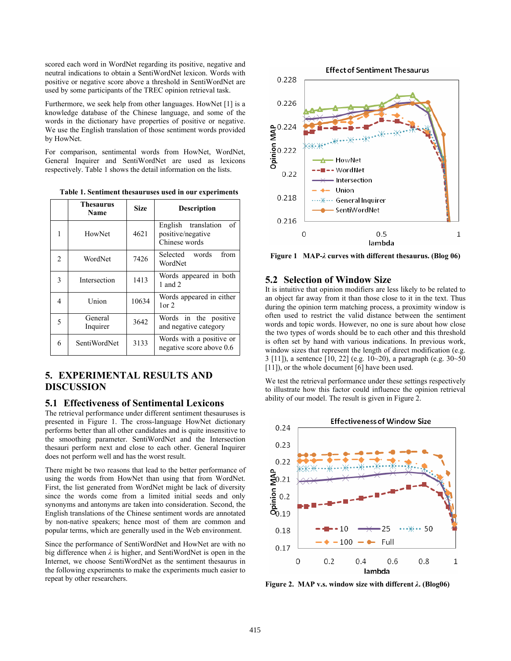scored each word in WordNet regarding its positive, negative and neutral indications to obtain a SentiWordNet lexicon. Words with positive or negative score above a threshold in SentiWordNet are used by some participants of the TREC opinion retrieval task.

Furthermore, we seek help from other languages. HowNet [1] is a knowledge database of the Chinese language, and some of the words in the dictionary have properties of positive or negative. We use the English translation of those sentiment words provided by HowNet.

For comparison, sentimental words from HowNet, WordNet, General Inquirer and SentiWordNet are used as lexicons respectively. Table 1 shows the detail information on the lists.

**Table 1. Sentiment thesauruses used in our experiments** 

|   | <b>Thesaurus</b><br><b>Name</b> | <b>Size</b> | Description                                                     |
|---|---------------------------------|-------------|-----------------------------------------------------------------|
|   | HowNet                          | 4621        | English translation<br>of<br>positive/negative<br>Chinese words |
| 2 | WordNet                         | 7426        | words<br>Selected<br>from<br>WordNet                            |
| 3 | Intersection                    | 1413        | Words appeared in both<br>1 and $2$                             |
| 4 | Union                           | 10634       | Words appeared in either<br>$1$ or $2$                          |
| 5 | General<br>Inquirer             | 3642        | Words in the positive<br>and negative category                  |
| 6 | SentiWordNet                    | 3133        | Words with a positive or<br>negative score above 0.6            |

# **5. EXPERIMENTAL RESULTS AND DISCUSSION**

## **5.1 Effectiveness of Sentimental Lexicons**

The retrieval performance under different sentiment thesauruses is presented in Figure 1. The cross-language HowNet dictionary performs better than all other candidates and is quite insensitive to the smoothing parameter. SentiWordNet and the Intersection thesauri perform next and close to each other. General Inquirer does not perform well and has the worst result.

There might be two reasons that lead to the better performance of using the words from HowNet than using that from WordNet. First, the list generated from WordNet might be lack of diversity since the words come from a limited initial seeds and only synonyms and antonyms are taken into consideration. Second, the English translations of the Chinese sentiment words are annotated by non-native speakers; hence most of them are common and popular terms, which are generally used in the Web environment.

Since the performance of SentiWordNet and HowNet are with no big difference when *λ* is higher, and SentiWordNet is open in the Internet, we choose SentiWordNet as the sentiment thesaurus in the following experiments to make the experiments much easier to repeat by other researchers.



**Figure 1 MAP-***λ* **curves with different thesaurus. (Blog 06)** 

## **5.2 Selection of Window Size**

It is intuitive that opinion modifiers are less likely to be related to an object far away from it than those close to it in the text. Thus during the opinion term matching process, a proximity window is often used to restrict the valid distance between the sentiment words and topic words. However, no one is sure about how close the two types of words should be to each other and this threshold is often set by hand with various indications. In previous work, window sizes that represent the length of direct modification (e.g. 3 [11]), a sentence [10, 22] (e.g. 10~20), a paragraph (e.g. 30~50 [11]), or the whole document [6] have been used.

We test the retrieval performance under these settings respectively to illustrate how this factor could influence the opinion retrieval ability of our model. The result is given in Figure 2.



**Figure 2. MAP v.s. window size with different** *λ***. (Blog06)**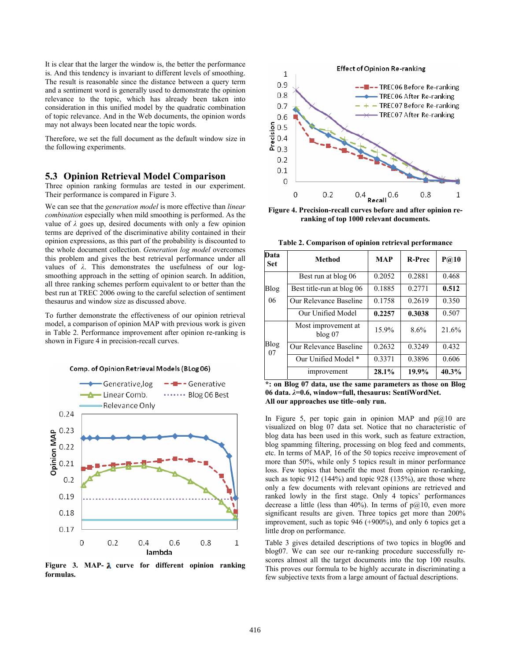It is clear that the larger the window is, the better the performance is. And this tendency is invariant to different levels of smoothing. The result is reasonable since the distance between a query term and a sentiment word is generally used to demonstrate the opinion relevance to the topic, which has already been taken into consideration in this unified model by the quadratic combination of topic relevance. And in the Web documents, the opinion words may not always been located near the topic words.

Therefore, we set the full document as the default window size in the following experiments.

#### **5.3 Opinion Retrieval Model Comparison**

Three opinion ranking formulas are tested in our experiment. Their performance is compared in Figure 3.

We can see that the *generation model* is more effective than *linear combination* especially when mild smoothing is performed. As the value of *λ* goes up, desired documents with only a few opinion terms are deprived of the discriminative ability contained in their opinion expressions, as this part of the probability is discounted to the whole document collection. *Generation log model* overcomes this problem and gives the best retrieval performance under all values of *λ*. This demonstrates the usefulness of our logsmoothing approach in the setting of opinion search. In addition, all three ranking schemes perform equivalent to or better than the best run at TREC 2006 owing to the careful selection of sentiment thesaurus and window size as discussed above.

To further demonstrate the effectiveness of our opinion retrieval model, a comparison of opinion MAP with previous work is given in Table 2. Performance improvement after opinion re-ranking is shown in Figure 4 in precision-recall curves.



Figure 3. MAP-  $\lambda$  curve for different opinion ranking **formulas.** 



**Figure 4. Precision-recall curves before and after opinion reranking of top 1000 relevant documents.** 

**Table 2. Comparison of opinion retrieval performance** 

| Data<br><b>Set</b> | Method                             | <b>MAP</b> | <b>R-Prec</b> | P@10  |
|--------------------|------------------------------------|------------|---------------|-------|
| Blog<br>06         | Best run at blog 06                | 0.2052     | 0.2881        | 0.468 |
|                    | Best title-run at blog 06          | 0.1885     | 0.2771        | 0.512 |
|                    | Our Relevance Baseline             | 0.1758     | 0.2619        | 0.350 |
|                    | Our Unified Model                  | 0.2257     | 0.3038        | 0.507 |
| Blog<br>07         | Most improvement at<br>$b \log 07$ | 15.9%      | 8.6%          | 21.6% |
|                    | Our Relevance Baseline             | 0.2632     | 0.3249        | 0.432 |
|                    | Our Unified Model *                | 0.3371     | 0.3896        | 0.606 |
|                    | improvement                        | 28.1%      | 19.9%         | 40.3% |

**\*: on Blog 07 data, use the same parameters as those on Blog 06 data.** *λ***=0.6, window=full, thesaurus: SentiWordNet. All our approaches use title–only run.** 

In Figure 5, per topic gain in opinion MAP and  $p@10$  are visualized on blog 07 data set. Notice that no characteristic of blog data has been used in this work, such as feature extraction, blog spamming filtering, processing on blog feed and comments, etc. In terms of MAP, 16 of the 50 topics receive improvement of more than 50%, while only 5 topics result in minor performance loss. Few topics that benefit the most from opinion re-ranking, such as topic 912 (144%) and topic 928 (135%), are those where only a few documents with relevant opinions are retrieved and ranked lowly in the first stage. Only 4 topics' performances decrease a little (less than 40%). In terms of  $p@10$ , even more significant results are given. Three topics get more than 200% improvement, such as topic 946 (+900%), and only 6 topics get a little drop on performance.

Table 3 gives detailed descriptions of two topics in blog06 and blog07. We can see our re-ranking procedure successfully rescores almost all the target documents into the top 100 results. This proves our formula to be highly accurate in discriminating a few subjective texts from a large amount of factual descriptions.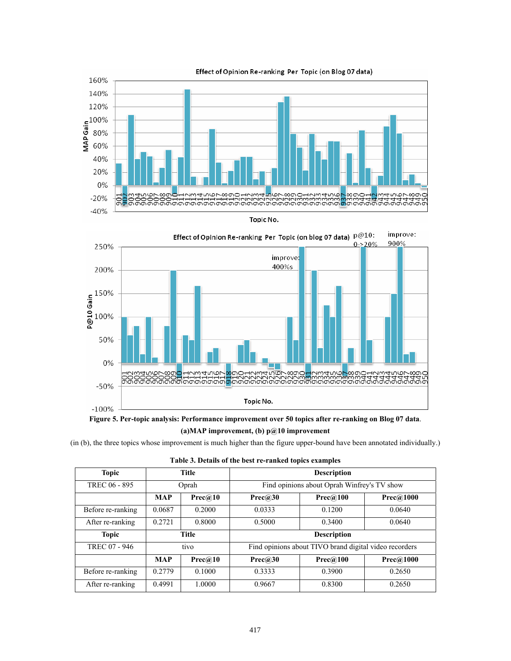





**(a)MAP improvement, (b) p@10 improvement** 

(in (b), the three topics whose improvement is much higher than the figure upper-bound have been annotated individually.)

| Table 3. Details of the best re-ranked topics examples |  |
|--------------------------------------------------------|--|
|--------------------------------------------------------|--|

| <b>Topic</b>      | <b>Title</b> |         | <b>Description</b>                                     |          |           |  |
|-------------------|--------------|---------|--------------------------------------------------------|----------|-----------|--|
| TREC 06 - 895     | Oprah        |         | Find opinions about Oprah Winfrey's TV show            |          |           |  |
|                   | <b>MAP</b>   | Prec@10 | Prec@30                                                | Prec@100 | Prec@1000 |  |
| Before re-ranking | 0.0687       | 0.2000  | 0.0333                                                 | 0.1200   | 0.0640    |  |
| After re-ranking  | 0.2721       | 0.8000  | 0.5000                                                 | 0.3400   | 0.0640    |  |
| <b>Topic</b>      | <b>Title</b> |         | <b>Description</b>                                     |          |           |  |
| TREC 07 - 946     | tivo         |         | Find opinions about TIVO brand digital video recorders |          |           |  |
|                   | <b>MAP</b>   | Prec@10 | Prec@30                                                | Prec@100 | Prec@1000 |  |
| Before re-ranking | 0.2779       | 0.1000  | 0.3333                                                 | 0.3900   | 0.2650    |  |
| After re-ranking  | 0.4991       | 1.0000  | 0.9667                                                 | 0.8300   | 0.2650    |  |